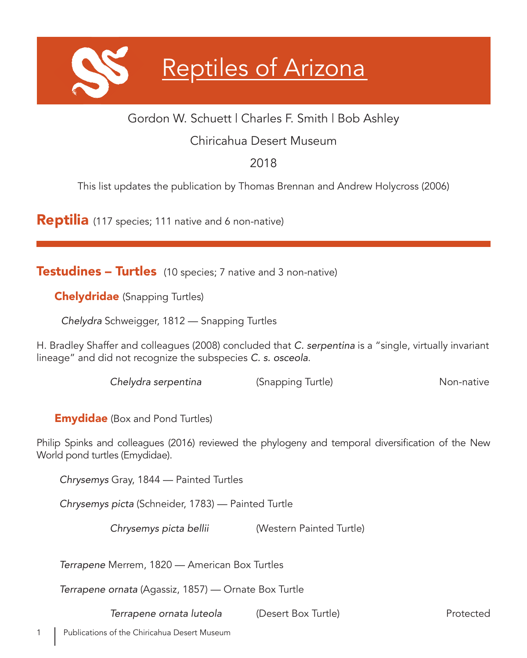# Reptiles of Arizona

# Gordon W. Schuett | Charles F. Smith | Bob Ashley

# Chiricahua Desert Museum

# 2018

This list updates the publication by Thomas Brennan and Andrew Holycross (2006)

**Reptilia** (117 species; 111 native and 6 non-native)

**Testudines – Turtles** (10 species; 7 native and 3 non-native)

**Chelydridae** (Snapping Turtles)

*Chelydra* Schweigger, 1812 — Snapping Turtles

H. Bradley Shaffer and colleagues (2008) concluded that *C. serpentina* is a "single, virtually invariant lineage" and did not recognize the subspecies *C. s. osceola*.

*Chelydra serpentina* (Snapping Turtle) **Non-native** Non-native

**Emydidae** (Box and Pond Turtles)

Philip Spinks and colleagues (2016) reviewed the phylogeny and temporal diversification of the New World pond turtles (Emydidae).

*Chrysemys* Gray, 1844 — Painted Turtles

*Chrysemys picta* (Schneider, 1783) — Painted Turtle

*Chrysemys picta bellii* (Western Painted Turtle)

*Terrapene* Merrem, 1820 — American Box Turtles

*Terrapene ornata* (Agassiz, 1857) — Ornate Box Turtle

**Terrapene ornata luteola** (Desert Box Turtle) **Protected** Protected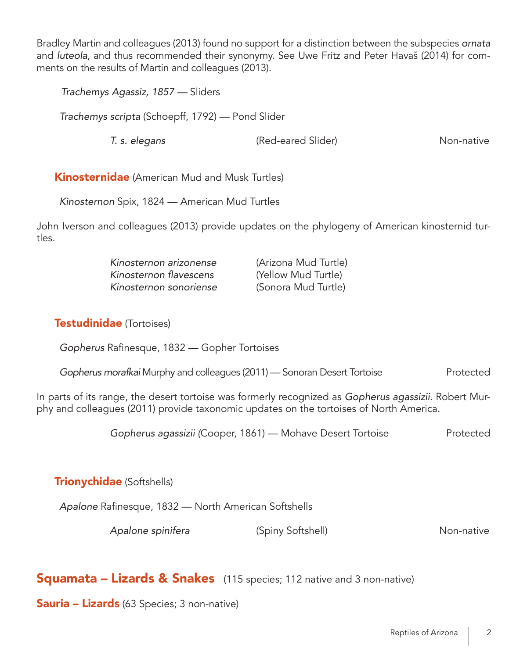Bradley Martin and colleagues (2013) found no support for a distinction between the subspecies *ornata* and *luteola*, and thus recommended their synonymy. See Uwe Fritz and Peter Havaš (2014) for comments on the results of Martin and colleagues (2013).

*Trachemys Agassiz, 1857 —* Sliders

*Trachemys scripta* (Schoepff, 1792) — Pond Slider

 *T. s. elegans* (Red-eared Slider) Non-native

**Kinosternidae** (American Mud and Musk Turtles)

*Kinosternon* Spix, 1824 — American Mud Turtles

John Iverson and colleagues (2013) provide updates on the phylogeny of American kinosternid turtles.

| Kinosternon arizonense | (Arizona Mud Turtle) |
|------------------------|----------------------|
| Kinosternon flavescens | (Yellow Mud Turtle)  |
| Kinosternon sonoriense | (Sonora Mud Turtle)  |

#### Testudinidae (Tortoises)

*Gopherus* Rafinesque, 1832 — Gopher Tortoises

| Gopherus morafkai Murphy and colleagues (2011) — Sonoran Desert Tortoise |  | Protected |
|--------------------------------------------------------------------------|--|-----------|
|                                                                          |  |           |

In parts of its range, the desert tortoise was formerly recognized as *Gopherus agassizii*. Robert Murphy and colleagues (2011) provide taxonomic updates on the tortoises of North America.

 *Gopherus agassizii (*Cooper, 1861) — Mohave Desert Tortoise Protected

## **Trionychidae** (Softshells)

*Apalone* Rafinesque, 1832 — North American Softshells

*Apalone spinifera* (Spiny Softshell) **Non-native** Non-native

## **Squamata – Lizards & Snakes** (115 species; 112 native and 3 non-native)

**Sauria – Lizards** (63 Species; 3 non-native)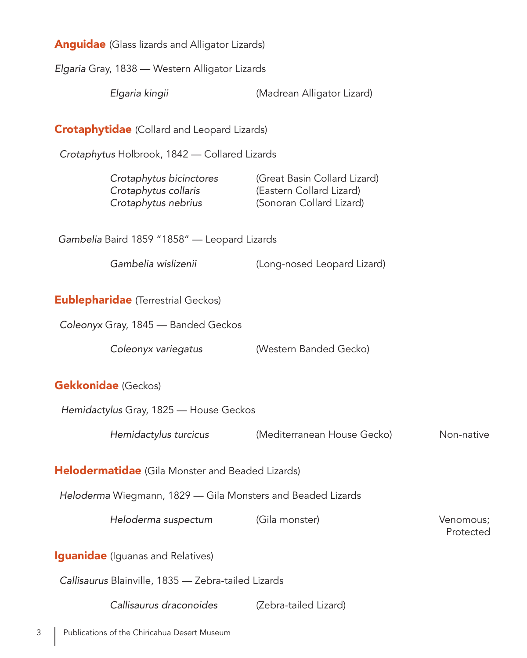Anguidae (Glass lizards and Alligator Lizards)

*Elgaria* Gray, 1838 — Western Alligator Lizards

*Elgaria kingii* (Madrean Alligator Lizard)

**Crotaphytidae** (Collard and Leopard Lizards)

*Crotaphytus* Holbrook, 1842 — Collared Lizards

| (Great Basin Collard Lizard)<br>Crotaphytus bicinctores<br>Crotaphytus collaris<br>(Eastern Collard Lizard)<br>Crotaphytus nebrius<br>(Sonoran Collard Lizard) |  |
|----------------------------------------------------------------------------------------------------------------------------------------------------------------|--|
|                                                                                                                                                                |  |

*Gambelia* Baird 1859 "1858" — Leopard Lizards

*Gambelia wislizenii* (Long-nosed Leopard Lizard)

**Eublepharidae** (Terrestrial Geckos)

*Coleonyx* Gray, 1845 — Banded Geckos

Coleonyx variegatus **Western Banded Gecko**)

Gekkonidae (Geckos)

*Hemidactylus* Gray, 1825 — House Geckos

*Hemidactylus turcicus* (Mediterranean House Gecko) Non-native

**Helodermatidae** (Gila Monster and Beaded Lizards)

*Heloderma* Wiegmann, 1829 — Gila Monsters and Beaded Lizards

*Heloderma suspectum* (Gila monster) Venomous;

Protected in the contract of the contract of the contract of the contract of the contract of the contract of the contract of the contract of the contract of the contract of the contract of the contract of the contract of t

**Iguanidae** (Iguanas and Relatives)

*Callisaurus* Blainville, 1835 — Zebra-tailed Lizards

*Callisaurus draconoides* (Zebra-tailed Lizard)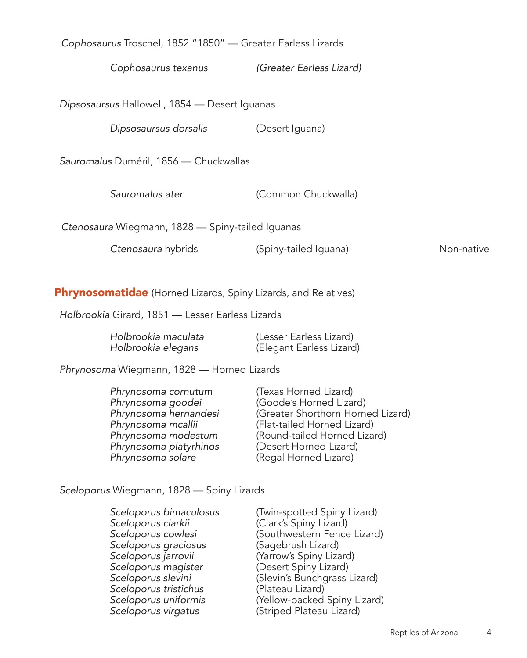*Cophosaurus* Troschel, 1852 "1850" — Greater Earless Lizards

*Cophosaurus texanus (Greater Earless Lizard)*

*Dipsosaursus* Hallowell, 1854 — Desert Iguanas

 *Dipsosaursus dorsalis* (Desert Iguana)

*Sauromalus* Duméril, 1856 — Chuckwallas

 *Sauromalus ater* (Common Chuckwalla)

*Ctenosaura* Wiegmann, 1828 — Spiny-tailed Iguanas

**Ctenosaura** hybrids (Spiny-tailed Iguana) Mon-native

Phrynosomatidae (Horned Lizards, Spiny Lizards, and Relatives)

*Holbrookia* Girard, 1851 — Lesser Earless Lizards

| Holbrookia maculata | (Lesser Earless Lizard)  |
|---------------------|--------------------------|
| Holbrookia elegans  | (Elegant Earless Lizard) |

*Phrynosoma* Wiegmann, 1828 — Horned Lizards

| Phrynosoma cornutum<br>Phrynosoma goodei<br>Phrynosoma hernandesi<br>Phrynosoma mcallii | (Texas Horned Lizard)<br>(Goode's Horned Lizard)<br>(Greater Shorthorn Horned Lizard)<br>(Flat-tailed Horned Lizard) |
|-----------------------------------------------------------------------------------------|----------------------------------------------------------------------------------------------------------------------|
| Phrynosoma modestum                                                                     | (Round-tailed Horned Lizard)                                                                                         |
| Phrynosoma platyrhinos                                                                  | (Desert Horned Lizard)                                                                                               |
| Phrynosoma solare                                                                       | (Regal Horned Lizard)                                                                                                |

*Sceloporus* Wiegmann, 1828 — Spiny Lizards

| Sceloporus bimaculosus | (Twin-spotted Spiny Lizard)  |
|------------------------|------------------------------|
| Sceloporus clarkii     | (Clark's Spiny Lizard)       |
| Sceloporus cowlesi     | (Southwestern Fence Lizard)  |
| Sceloporus graciosus   | (Sagebrush Lizard)           |
| Sceloporus jarrovii    | (Yarrow's Spiny Lizard)      |
| Sceloporus magister    | (Desert Spiny Lizard)        |
| Sceloporus slevini     | (Slevin's Bunchgrass Lizard) |
| Sceloporus tristichus  | (Plateau Lizard)             |
| Sceloporus uniformis   | (Yellow-backed Spiny Lizard) |
| Sceloporus virgatus    | (Striped Plateau Lizard)     |
|                        |                              |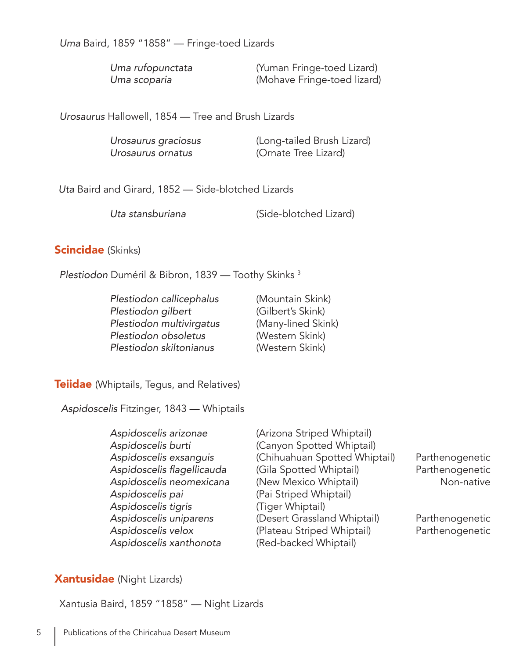*Uma* Baird, 1859 "1858" — Fringe-toed Lizards

| Uma rufopunctata | (Yuman Fringe-toed Lizard)  |
|------------------|-----------------------------|
| Uma scoparia     | (Mohave Fringe-toed lizard) |

*Urosaurus* Hallowell, 1854 — Tree and Brush Lizards

| Urosaurus graciosus | (Long-tailed Brush Lizard) |
|---------------------|----------------------------|
| Urosaurus ornatus   | (Ornate Tree Lizard)       |

*Uta* Baird and Girard, 1852 — Side-blotched Lizards

*Uta stansburiana* (Side-blotched Lizard)

#### **Scincidae** (Skinks)

*Plestiodon* Duméril & Bibron, 1839 — Toothy Skinks 3

 *Plestiodon callicephalus* (Mountain Skink)  *Plestiodon gilbert* (Gilbert's Skink) Plestiodon multivirgatus (Many-lined Skink)  *Plestiodon obsoletus* (Western Skink)  *Plestiodon skiltonianus* (Western Skink)

**Teiidae** (Whiptails, Tegus, and Relatives)

*Aspidoscelis* Fitzinger, 1843 — Whiptails

 *Aspidoscelis arizonae* (Arizona Striped Whiptail) *Aspidoscelis burti* (Canyon Spotted Whiptail) *Aspidoscelis pai* (Pai Striped Whiptail) *Aspidoscelis tigris* (Tiger Whiptail) *Aspidoscelis xanthonota* (Red-backed Whiptail)

 *Aspidoscelis exsanguis* (Chihuahuan Spotted Whiptail) Parthenogenetic Aspidoscelis flagellicauda (Gila Spotted Whiptail) Parthenogenetic Aspidoscelis neomexicana (New Mexico Whiptail) **Non-native** Non-native *Aspidoscelis uniparens* (Desert Grassland Whiptail) Parthenogenetic Aspidoscelis velox **(Plateau Striped Whiptail)** Parthenogenetic

#### Xantusidae (Night Lizards)

Xantusia Baird, 1859 "1858" — Night Lizards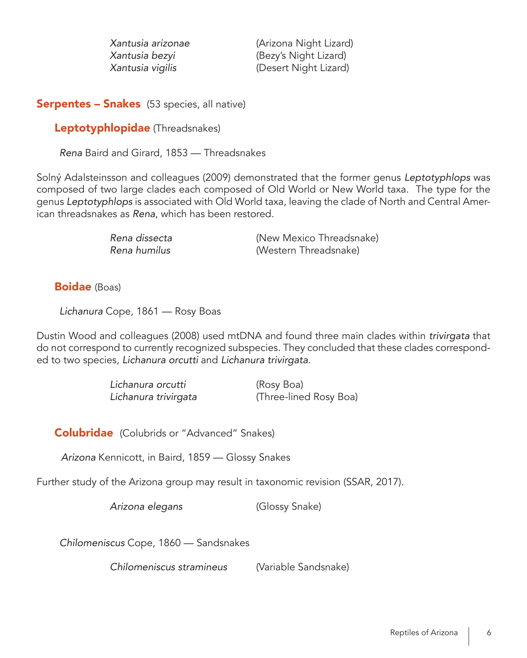*Xantusia arizonae* (Arizona Night Lizard) *Xantusia bezyi* (Bezy's Night Lizard) Xantusia vigilis (Desert Night Lizard)

#### **Serpentes – Snakes** (53 species, all native)

Leptotyphlopidae (Threadsnakes)

*Rena* Baird and Girard, 1853 — Threadsnakes

Solný Adalsteinsson and colleagues (2009) demonstrated that the former genus *Leptotyphlops* was composed of two large clades each composed of Old World or New World taxa. The type for the genus *Leptotyphlops* is associated with Old World taxa, leaving the clade of North and Central American threadsnakes as *Rena*, which has been restored.

> *Rena dissecta* (New Mexico Threadsnake) *(Western Threadsnake)*

Boidae (Boas)

*Lichanura* Cope, 1861 — Rosy Boas

Dustin Wood and colleagues (2008) used mtDNA and found three main clades within trivirgata that do not correspond to currently recognized subspecies. They concluded that these clades corresponded to two species, *Lichanura orcutti* and Lichanura trivirgata.

> *Lichanura orcutti* (Rosy Boa) Lichanura trivirgata (Three-lined Rosy Boa)

Colubridae (Colubrids or "Advanced" Snakes)

*Arizona* Kennicott, in Baird, 1859 — Glossy Snakes

Further study of the Arizona group may result in taxonomic revision (SSAR, 2017).

*Arizona elegans* (Glossy Snake)

*Chilomeniscus* Cope, 1860 — Sandsnakes

*Chilomeniscus stramineus* (Variable Sandsnake)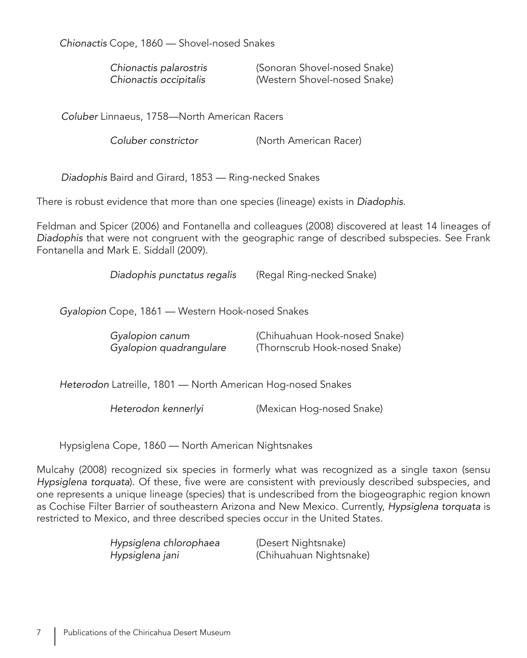*Chionactis* Cope, 1860 — Shovel-nosed Snakes

| Chionactis palarostris | (Sonoran Shovel-nosed Snake) |
|------------------------|------------------------------|
| Chionactis occipitalis | (Western Shovel-nosed Snake) |

*Coluber* Linnaeus, 1758—North American Racers

*Coluber constrictor* (North American Racer)

*Diadophis* Baird and Girard, 1853 — Ring-necked Snakes

There is robust evidence that more than one species (lineage) exists in *Diadophis*.

Feldman and Spicer (2006) and Fontanella and colleagues (2008) discovered at least 14 lineages of *Diadophis* that were not congruent with the geographic range of described subspecies. See Frank Fontanella and Mark E. Siddall (2009).

*Diadophis punctatus regalis* (Regal Ring-necked Snake)

*Gyalopion* Cope, 1861 — Western Hook-nosed Snakes

| Gyalopion canum         | (Chihuahuan Hook-nosed Snake) |
|-------------------------|-------------------------------|
| Gyalopion quadrangulare | (Thornscrub Hook-nosed Snake) |

*Heterodon* Latreille, 1801 — North American Hog-nosed Snakes

*Heterodon kennerlyi* (Mexican Hog-nosed Snake)

Hypsiglena Cope, 1860 — North American Nightsnakes

Mulcahy (2008) recognized six species in formerly what was recognized as a single taxon (sensu *Hypsiglena torquata*). Of these, five were are consistent with previously described subspecies, and one represents a unique lineage (species) that is undescribed from the biogeographic region known as Cochise Filter Barrier of southeastern Arizona and New Mexico. Currently, *Hypsiglena torquata* is restricted to Mexico, and three described species occur in the United States.

*Hypsiglena chlorophaea* (Desert Nightsnake)

*Hypsiglena jani* (Chihuahuan Nightsnake)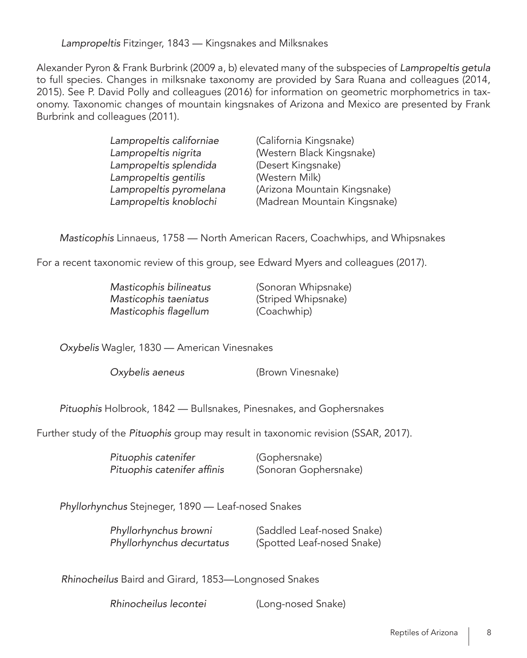*Lampropeltis* Fitzinger, 1843 — Kingsnakes and Milksnakes

Alexander Pyron & Frank Burbrink (2009 a, b) elevated many of the subspecies of *Lampropeltis getula*  to full species. Changes in milksnake taxonomy are provided by Sara Ruana and colleagues (2014, 2015). See P. David Polly and colleagues (2016) for information on geometric morphometrics in taxonomy. Taxonomic changes of mountain kingsnakes of Arizona and Mexico are presented by Frank Burbrink and colleagues (2011).

| Lampropeltis californiae | (California Kingsnake)       |
|--------------------------|------------------------------|
| Lampropeltis nigrita     | (Western Black Kingsnake)    |
| Lampropeltis splendida   | (Desert Kingsnake)           |
| Lampropeltis gentilis    | (Western Milk)               |
| Lampropeltis pyromelana  | (Arizona Mountain Kingsnake) |
| Lampropeltis knoblochi   | (Madrean Mountain Kingsnake) |

*Masticophis* Linnaeus, 1758 — North American Racers, Coachwhips, and Whipsnakes

For a recent taxonomic review of this group, see Edward Myers and colleagues (2017).

| Masticophis bilineatus |  |
|------------------------|--|
| Masticophis taeniatus  |  |
| Masticophis flagellum  |  |

 *Masticophis bilineatus* (Sonoran Whipsnake) *(Striped Whipsnake)* (Coachwhip)

*Oxybelis* Wagler, 1830 — American Vinesnakes

*Oxybelis aeneus* (Brown Vinesnake)

*Pituophis* Holbrook, 1842 — Bullsnakes, Pinesnakes, and Gophersnakes

Further study of the *Pituophis* group may result in taxonomic revision (SSAR, 2017).

| Pituophis catenifer         | (Gophersnake)         |
|-----------------------------|-----------------------|
| Pituophis catenifer affinis | (Sonoran Gophersnake) |

*Phyllorhynchus* Stejneger, 1890 — Leaf-nosed Snakes

 *Phyllorhynchus browni* (Saddled Leaf-nosed Snake) *Phyllorhynchus decurtatus* (Spotted Leaf-nosed Snake)

*Rhinocheilus* Baird and Girard, 1853—Longnosed Snakes

*Rhinocheilus lecontei* (Long-nosed Snake)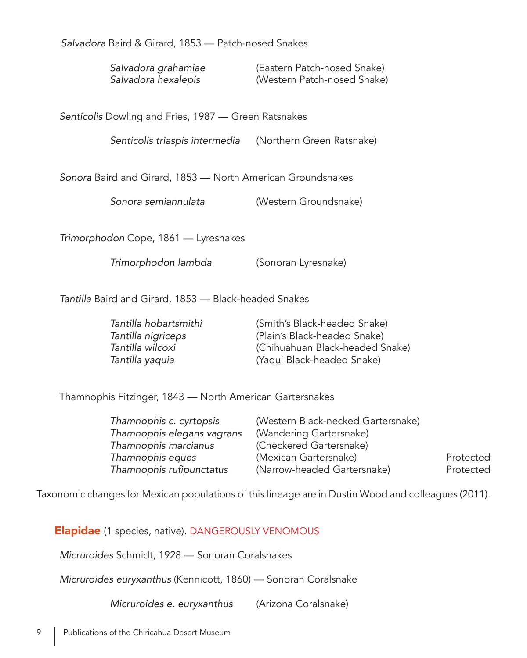Salvadora Baird & Girard, 1853 — Patch-nosed Snakes

 Salvadora grahamiae (Eastern Patch-nosed Snake) Salvadora hexalepis (Western Patch-nosed Snake)

*Senticolis* Dowling and Fries, 1987 — Green Ratsnakes

*Senticolis triaspis intermedia* (Northern Green Ratsnake)

*Sonora* Baird and Girard, 1853 — North American Groundsnakes

*Sonora semiannulata* (Western Groundsnake)

*Trimorphodon* Cope, 1861 — Lyresnakes

*Trimorphodon lambda* (Sonoran Lyresnake)

*Tantilla* Baird and Girard, 1853 — Black-headed Snakes

| Tantilla hobartsmithi | (Smith's Black-headed Snake)    |
|-----------------------|---------------------------------|
| Tantilla nigriceps    | (Plain's Black-headed Snake)    |
| Tantilla wilcoxi      | (Chihuahuan Black-headed Snake) |
| Tantilla yaquia       | (Yaqui Black-headed Snake)      |

Thamnophis Fitzinger, 1843 — North American Gartersnakes

| Thamnophis c. cyrtopsis    | (Western Black-necked Gartersnake) |           |
|----------------------------|------------------------------------|-----------|
| Thamnophis elegans vagrans | (Wandering Gartersnake)            |           |
| Thamnophis marcianus       | (Checkered Gartersnake)            |           |
| Thamnophis eques           | (Mexican Gartersnake)              | Protected |
| Thamnophis rufipunctatus   | (Narrow-headed Gartersnake)        | Protected |

Taxonomic changes for Mexican populations of this lineage are in Dustin Wood and colleagues (2011).

Elapidae (1 species, native). DANGEROUSLY VENOMOUS

*Micruroides* Schmidt, 1928 — Sonoran Coralsnakes

*Micruroides euryxanthus* (Kennicott, 1860) — Sonoran Coralsnake

*Micruroides e. euryxanthus* (Arizona Coralsnake)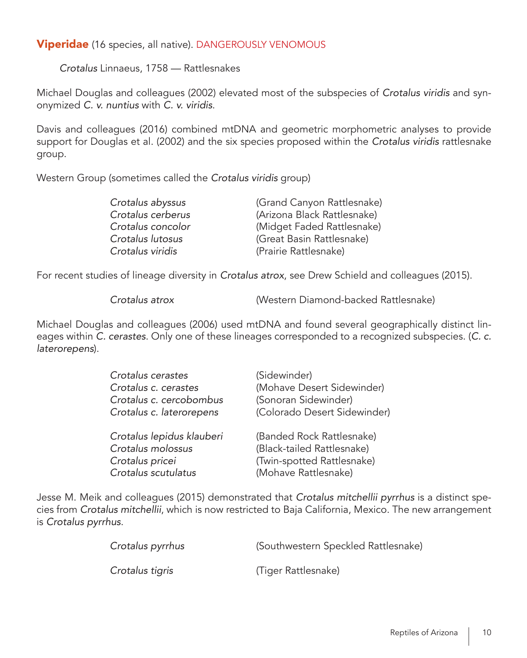## **Viperidae** (16 species, all native). DANGEROUSLY VENOMOUS

*Crotalus* Linnaeus, 1758 — Rattlesnakes

Michael Douglas and colleagues (2002) elevated most of the subspecies of Crotalus viridis and synonymized C. v. nuntius with C. v. viridis.

Davis and colleagues (2016) combined mtDNA and geometric morphometric analyses to provide support for Douglas et al. (2002) and the six species proposed within the Crotalus viridis rattlesnake group.

Western Group (sometimes called the Crotalus viridis group)

| Crotalus abyssus  | (Grand Canyon Rattlesnake)  |
|-------------------|-----------------------------|
| Crotalus cerberus | (Arizona Black Rattlesnake) |
| Crotalus concolor | (Midget Faded Rattlesnake)  |
| Crotalus lutosus  | (Great Basin Rattlesnake)   |
| Crotalus viridis  | (Prairie Rattlesnake)       |

For recent studies of lineage diversity in *Crotalus atrox*, see Drew Schield and colleagues (2015).

*Crotalus atrox* (Western Diamond-backed Rattlesnake)

Michael Douglas and colleagues (2006) used mtDNA and found several geographically distinct lineages within *C. cerastes*. Only one of these lineages corresponded to a recognized subspecies. (*C. c. laterorepens*).

| Crotalus cerastes<br>Crotalus c. cerastes<br>Crotalus c. cercobombus<br>Crotalus c. laterorepens | (Sidewinder)<br>(Mohave Desert Sidewinder)<br>(Sonoran Sidewinder)<br>(Colorado Desert Sidewinder)            |
|--------------------------------------------------------------------------------------------------|---------------------------------------------------------------------------------------------------------------|
| Crotalus lepidus klauberi<br>Crotalus molossus<br>Crotalus pricei<br>Crotalus scutulatus         | (Banded Rock Rattlesnake)<br>(Black-tailed Rattlesnake)<br>(Twin-spotted Rattlesnake)<br>(Mohave Rattlesnake) |

Jesse M. Meik and colleagues (2015) demonstrated that *Crotalus mitchellii pyrrhus* is a distinct species from *Crotalus mitchellii*, which is now restricted to Baja California, Mexico. The new arrangement is *Crotalus pyrrhus*.

| Crotalus pyrrhus | (Southwestern Speckled Rattlesnake) |
|------------------|-------------------------------------|
| Crotalus tigris  | (Tiger Rattlesnake)                 |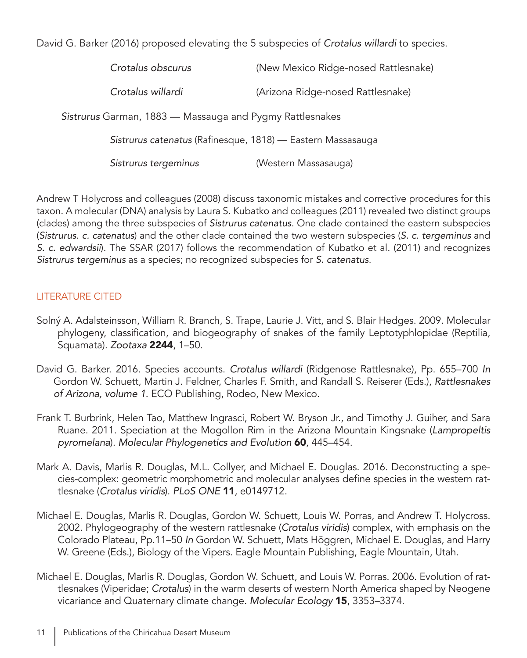David G. Barker (2016) proposed elevating the 5 subspecies of *Crotalus willardi* to species.

| Crotalus obscurus                                           | (New Mexico Ridge-nosed Rattlesnake) |
|-------------------------------------------------------------|--------------------------------------|
| Crotalus willardi                                           | (Arizona Ridge-nosed Rattlesnake)    |
| Sistrurus Garman, 1883 — Massauga and Pygmy Rattlesnakes    |                                      |
| Sistrurus catenatus (Rafinesque, 1818) — Eastern Massasauga |                                      |
| Sistrurus tergeminus                                        | (Western Massasauga)                 |

Andrew T Holycross and colleagues (2008) discuss taxonomic mistakes and corrective procedures for this taxon. A molecular (DNA) analysis by Laura S. Kubatko and colleagues (2011) revealed two distinct groups (clades) among the three subspecies of *Sistrurus catenatus*. One clade contained the eastern subspecies (*Sistrurus. c. catenatus*) and the other clade contained the two western subspecies (*S. c. tergeminus* and *S. c. edwardsii*). The SSAR (2017) follows the recommendation of Kubatko et al. (2011) and recognizes *Sistrurus tergeminus* as a species; no recognized subspecies for *S. catenatus*.

## LITERATURE CITED

- Solný A. Adalsteinsson, William R. Branch, S. Trape, Laurie J. Vitt, and S. Blair Hedges. 2009. Molecular phylogeny, classification, and biogeography of snakes of the family Leptotyphlopidae (Reptilia, Squamata). *Zootaxa* 2244, 1–50.
- David G. Barker. 2016. Species accounts. *Crotalus willardi* (Ridgenose Rattlesnake), Pp. 655–700 *In*  Gordon W. Schuett, Martin J. Feldner, Charles F. Smith, and Randall S. Reiserer (Eds.), *Rattlesnakes of* Arizona, volume 1. ECO Publishing, Rodeo, New Mexico.
- Frank T. Burbrink, Helen Tao, Matthew Ingrasci, Robert W. Bryson Jr., and Timothy J. Guiher, and Sara Ruane. 2011. Speciation at the Mogollon Rim in the Arizona Mountain Kingsnake (*Lampropeltis pyromelana*). Molecular Phylogenetics and Evolution 60, 445–454.
- Mark A. Davis, Marlis R. Douglas, M.L. Collyer, and Michael E. Douglas. 2016. Deconstructing a species-complex: geometric morphometric and molecular analyses define species in the western rattlesnake (Crotalus viridis). *PLoS ONE* 11, e0149712.
- Michael E. Douglas, Marlis R. Douglas, Gordon W. Schuett, Louis W. Porras, and Andrew T. Holycross. 2002. Phylogeography of the western rattlesnake (Crotalus viridis) complex, with emphasis on the Colorado Plateau, Pp.11–50 *In* Gordon W. Schuett, Mats Höggren, Michael E. Douglas, and Harry W. Greene (Eds.), Biology of the Vipers. Eagle Mountain Publishing, Eagle Mountain, Utah.
- Michael E. Douglas, Marlis R. Douglas, Gordon W. Schuett, and Louis W. Porras. 2006. Evolution of rattlesnakes (Viperidae; *Crotalus*) in the warm deserts of western North America shaped by Neogene vicariance and Quaternary climate change. *Molecular Ecology* 15, 3353–3374.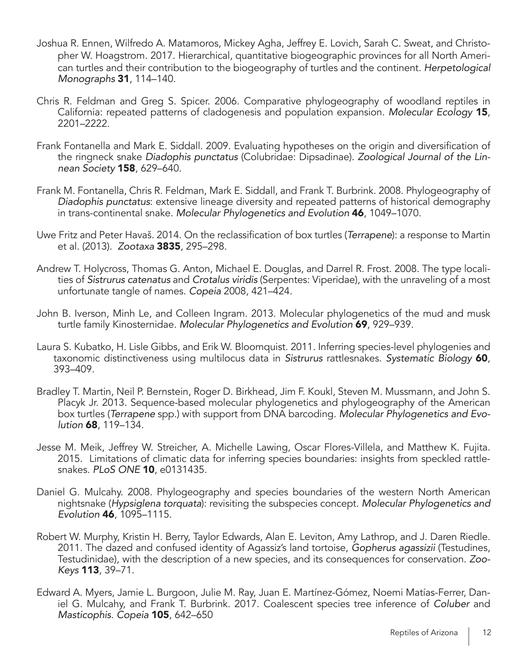- Joshua R. Ennen, Wilfredo A. Matamoros, Mickey Agha, Jeffrey E. Lovich, Sarah C. Sweat, and Christopher W. Hoagstrom. 2017. Hierarchical, quantitative biogeographic provinces for all North American turtles and their contribution to the biogeography of turtles and the continent. *Herpetological Monographs* 31, 114–140.
- Chris R. Feldman and Greg S. Spicer. 2006. Comparative phylogeography of woodland reptiles in California: repeated patterns of cladogenesis and population expansion. *Molecular Ecology* 15, 2201–2222.
- Frank Fontanella and Mark E. Siddall. 2009. Evaluating hypotheses on the origin and diversification of the ringneck snake *Diadophis punctatus* (Colubridae: Dipsadinae). *Zoological Journal of the Linnean Society* 158, 629–640.
- Frank M. Fontanella, Chris R. Feldman, Mark E. Siddall, and Frank T. Burbrink. 2008. Phylogeography of *Diadophis punctatus*: extensive lineage diversity and repeated patterns of historical demography in trans-continental snake. Molecular Phylogenetics and Evolution 46, 1049–1070.
- Uwe Fritz and Peter Havaš. 2014. On the reclassification of box turtles (*Terrapene*): a response to Martin et al. (2013). *Zootaxa* 3835, 295–298.
- Andrew T. Holycross, Thomas G. Anton, Michael E. Douglas, and Darrel R. Frost. 2008. The type localities of *Sistrurus catenatus* and Crotalus viridis (Serpentes: Viperidae), with the unraveling of a most unfortunate tangle of names. *Copeia* 2008, 421–424.
- John B. Iverson, Minh Le, and Colleen Ingram. 2013. Molecular phylogenetics of the mud and musk turtle family Kinosternidae. Molecular Phylogenetics and Evolution 69, 929–939.
- Laura S. Kubatko, H. Lisle Gibbs, and Erik W. Bloomquist. 2011. Inferring species-level phylogenies and taxonomic distinctiveness using multilocus data in *Sistrurus* rattlesnakes. *Systematic Biology* 60, 393–409.
- Bradley T. Martin, Neil P. Bernstein, Roger D. Birkhead, Jim F. Koukl, Steven M. Mussmann, and John S. Placyk Jr. 2013. Sequence-based molecular phylogenetics and phylogeography of the American box turtles (*Terrapene* spp.) with support from DNA barcoding. Molecular Phylogenetics and Evo*lution* 68, 119–134.
- Jesse M. Meik, Jeffrey W. Streicher, A. Michelle Lawing, Oscar Flores-Villela, and Matthew K. Fujita. 2015. Limitations of climatic data for inferring species boundaries: insights from speckled rattlesnakes. *PLoS ONE* 10, e0131435.
- Daniel G. Mulcahy. 2008. Phylogeography and species boundaries of the western North American nightsnake (*Hypsiglena torquata*): revisiting the subspecies concept. *Molecular Phylogenetics and*  Evolution 46, 1095–1115.
- Robert W. Murphy, Kristin H. Berry, Taylor Edwards, Alan E. Leviton, Amy Lathrop, and J. Daren Riedle. 2011. The dazed and confused identity of Agassiz's land tortoise, *Gopherus agassizii* (Testudines, Testudinidae), with the description of a new species, and its consequences for conservation. *Zoo-Keys* 113, 39–71.
- Edward A. Myers, Jamie L. Burgoon, Julie M. Ray, Juan E. Martínez-Gómez, Noemi Matías-Ferrer, Daniel G. Mulcahy, and Frank T. Burbrink. 2017. Coalescent species tree inference of *Coluber* and *Masticophis*. *Copeia* 105, 642–650